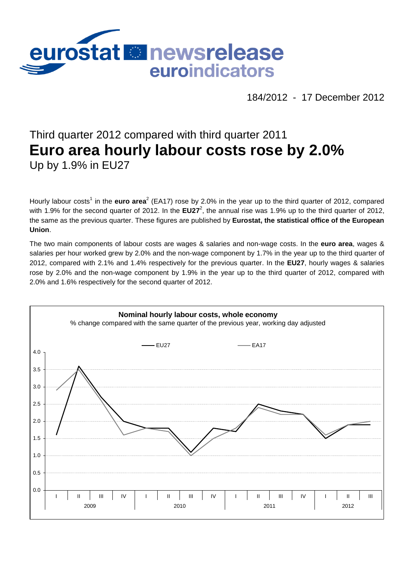

184/2012 - 17 December 2012

# Third quarter 2012 compared with third quarter 2011 **Euro area hourly labour costs rose by 2.0%** Up by 1.9% in EU27

Hourly labour costs<sup>1</sup> in the **euro area**<sup>2</sup> (EA17) rose by 2.0% in the year up to the third quarter of 2012, compared with 1.9% for the second quarter of 2012. In the EU27<sup>2</sup>, the annual rise was 1.9% up to the third quarter of 2012, the same as the previous quarter. These figures are published by **Eurostat, the statistical office of the European Union**.

The two main components of labour costs are wages & salaries and non-wage costs. In the **euro area**, wages & salaries per hour worked grew by 2.0% and the non-wage component by 1.7% in the year up to the third quarter of 2012, compared with 2.1% and 1.4% respectively for the previous quarter. In the **EU27**, hourly wages & salaries rose by 2.0% and the non-wage component by 1.9% in the year up to the third quarter of 2012, compared with 2.0% and 1.6% respectively for the second quarter of 2012.

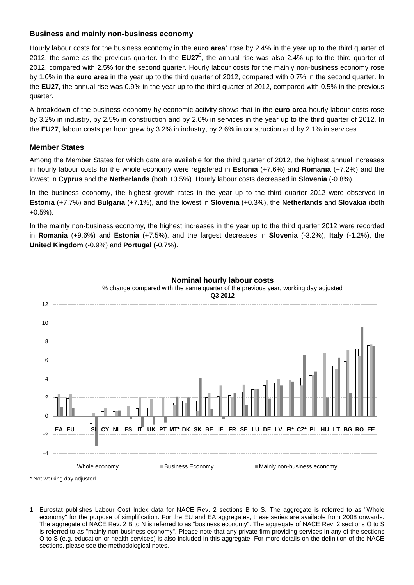## **Business and mainly non-business economy**

Hourly labour costs for the business economy in the **euro area**<sup>3</sup> rose by 2.4% in the year up to the third quarter of 2012, the same as the previous quarter. In the EU27<sup>3</sup>, the annual rise was also 2.4% up to the third quarter of 2012, compared with 2.5% for the second quarter. Hourly labour costs for the mainly non-business economy rose by 1.0% in the **euro area** in the year up to the third quarter of 2012, compared with 0.7% in the second quarter. In the **EU27**, the annual rise was 0.9% in the year up to the third quarter of 2012, compared with 0.5% in the previous quarter.

A breakdown of the business economy by economic activity shows that in the **euro area** hourly labour costs rose by 3.2% in industry, by 2.5% in construction and by 2.0% in services in the year up to the third quarter of 2012. In the **EU27**, labour costs per hour grew by 3.2% in industry, by 2.6% in construction and by 2.1% in services.

#### **Member States**

Among the Member States for which data are available for the third quarter of 2012, the highest annual increases in hourly labour costs for the whole economy were registered in **Estonia** (+7.6%) and **Romania** (+7.2%) and the lowest in **Cyprus** and the **Netherlands** (both +0.5%). Hourly labour costs decreased in **Slovenia** (-0.8%).

In the business economy, the highest growth rates in the year up to the third quarter 2012 were observed in **Estonia** (+7.7%) and **Bulgaria** (+7.1%), and the lowest in **Slovenia** (+0.3%), the **Netherlands** and **Slovakia** (both +0.5%).

In the mainly non-business economy, the highest increases in the year up to the third quarter 2012 were recorded in **Romania** (+9.6%) and **Estonia** (+7.5%), and the largest decreases in **Slovenia** (-3.2%), **Italy** (-1.2%), the **United Kingdom** (-0.9%) and **Portugal** (-0.7%).



\* Not working day adjusted

<sup>1.</sup> Eurostat publishes Labour Cost Index data for NACE Rev. 2 sections B to S. The aggregate is referred to as "Whole economy" for the purpose of simplification. For the EU and EA aggregates, these series are available from 2008 onwards. The aggregate of NACE Rev. 2 B to N is referred to as "business economy". The aggregate of NACE Rev. 2 sections O to S is referred to as "mainly non-business economy". Please note that any private firm providing services in any of the sections O to S (e.g. education or health services) is also included in this aggregate. For more details on the definition of the NACE sections, please see the methodological notes.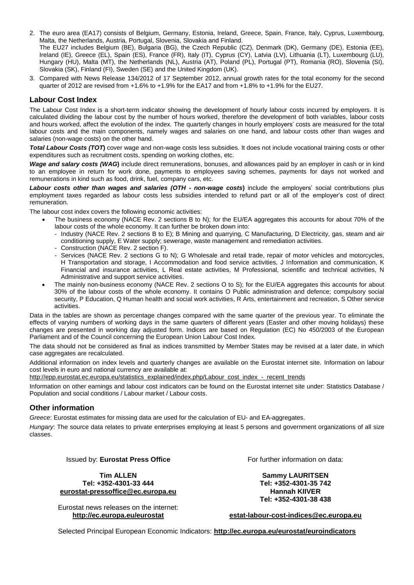- 2. The euro area (EA17) consists of Belgium, Germany, Estonia, Ireland, Greece, Spain, France, Italy, Cyprus, Luxembourg, Malta, the Netherlands, Austria, Portugal, Slovenia, Slovakia and Finland. The EU27 includes Belgium (BE), Bulgaria (BG), the Czech Republic (CZ), Denmark (DK), Germany (DE), Estonia (EE), Ireland (IE), Greece (EL), Spain (ES), France (FR), Italy (IT), Cyprus (CY), Latvia (LV), Lithuania (LT), Luxembourg (LU), Hungary (HU), Malta (MT), the Netherlands (NL), Austria (AT), Poland (PL), Portugal (PT), Romania (RO), Slovenia (SI), Slovakia (SK), Finland (FI), Sweden (SE) and the United Kingdom (UK).
- 3. Compared with News Release 134/2012 of 17 September 2012, annual growth rates for the total economy for the second quarter of 2012 are revised from +1.6% to +1.9% for the EA17 and from +1.8% to +1.9% for the EU27.

#### **Labour Cost Index**

The Labour Cost Index is a short-term indicator showing the development of hourly labour costs incurred by employers. It is calculated dividing the labour cost by the number of hours worked, therefore the development of both variables, labour costs and hours worked, affect the evolution of the index. The quarterly changes in hourly employers' costs are measured for the total labour costs and the main components, namely wages and salaries on one hand, and labour costs other than wages and salaries (non-wage costs) on the other hand.

*Total Labour Costs (TOT***)** cover wage and non-wage costs less subsidies. It does not include vocational training costs or other expenditures such as recruitment costs, spending on working clothes, etc.

*Wage and salary costs (WAG***)** include direct remunerations, bonuses, and allowances paid by an employer in cash or in kind to an employee in return for work done, payments to employees saving schemes, payments for days not worked and remunerations in kind such as food, drink, fuel, company cars, etc.

*Labour costs other than wages and salaries (OTH - non-wage costs***)** include the employers' social contributions plus employment taxes regarded as labour costs less subsidies intended to refund part or all of the employer's cost of direct remuneration.

The labour cost index covers the following economic activities:

- The business economy (NACE Rev. 2 sections B to N); for the EU/EA aggregates this accounts for about 70% of the labour costs of the whole economy. It can further be broken down into:
	- Industry (NACE Rev. 2 sections B to E); B Mining and quarrying, C Manufacturing, D Electricity, gas, steam and air conditioning supply, E Water supply; sewerage, waste management and remediation activities.
	- Construction (NACE Rev. 2 section F).
	- Services (NACE Rev. 2 sections G to N); G Wholesale and retail trade, repair of motor vehicles and motorcycles, H Transportation and storage, I Accommodation and food service activities, J Information and communication, K Financial and insurance activities, L Real estate activities, M Professional, scientific and technical activities, N Administrative and support service activities.
- The mainly non-business economy (NACE Rev. 2 sections O to S); for the EU/EA aggregates this accounts for about 30% of the labour costs of the whole economy. It contains O Public administration and defence; compulsory social security, P Education, Q Human health and social work activities, R Arts, entertainment and recreation, S Other service activities.

Data in the tables are shown as percentage changes compared with the same quarter of the previous year. To eliminate the effects of varying numbers of working days in the same quarters of different years (Easter and other moving holidays) these changes are presented in working day adjusted form. Indices are based on Regulation (EC) No 450/2003 of the European Parliament and of the Council concerning the European Union Labour Cost Index.

The data should not be considered as final as indices transmitted by Member States may be revised at a later date, in which case aggregates are recalculated.

Additional information on index levels and quarterly changes are available on the Eurostat internet site. Information on labour cost levels in euro and national currency are available at:

[http://epp.eurostat.ec.europa.eu/statistics\\_explained/index.php/Labour\\_cost\\_index\\_-\\_recent\\_trends](http://epp.eurostat.ec.europa.eu/statistics_explained/index.php/Labour_cost_index_-_recent_trends)

Information on other earnings and labour cost indicators can be found on the Eurostat internet site under: Statistics Database / Population and social conditions / Labour market / Labour costs.

#### **Other information**

*Greece*: Eurostat estimates for missing data are used for the calculation of EU- and EA-aggregates.

*Hungary*: The source data relates to private enterprises employing at least 5 persons and government organizations of all size classes.

Issued by: **Eurostat Press Office**

**Tim ALLEN Tel: +352-4301-33 444 [eurostat-pressoffice@ec.europa.eu](mailto:eurostat-pressoffice@ec.europa.eu)**

Eurostat news releases on the internet: **<http://ec.europa.eu/eurostat>**

For further information on data:

**Sammy LAURITSEN Tel: +352-4301-35 742 Hannah KIIVER Tel: +352-4301-38 438**

**[estat-labour-cost-indices@ec.europa.eu](mailto:estat-labour-cost-indices@ec.europa.eu)**

Selected Principal European Economic Indicators: **<http://ec.europa.eu/eurostat/euroindicators>**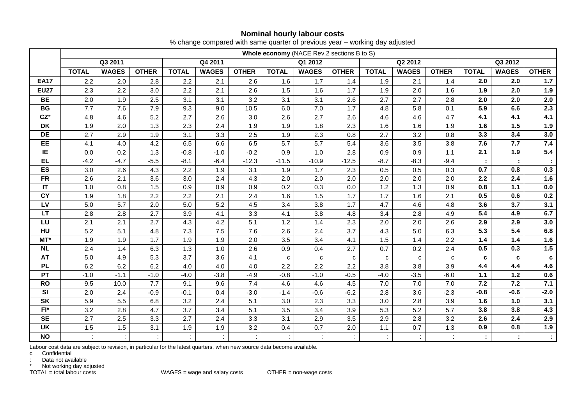# **Nominal hourly labour costs**

|                        |              | Whole economy (NACE Rev.2 sections B to S) |                  |              |              |              |              |              |              |              |              |              |              |              |              |
|------------------------|--------------|--------------------------------------------|------------------|--------------|--------------|--------------|--------------|--------------|--------------|--------------|--------------|--------------|--------------|--------------|--------------|
|                        |              | Q3 2011                                    |                  |              | Q4 2011      |              |              | Q1 2012      |              |              | Q2 2012      |              |              | Q3 2012      |              |
|                        | <b>TOTAL</b> | <b>WAGES</b>                               | <b>OTHER</b>     | <b>TOTAL</b> | <b>WAGES</b> | <b>OTHER</b> | <b>TOTAL</b> | <b>WAGES</b> | <b>OTHER</b> | <b>TOTAL</b> | <b>WAGES</b> | <b>OTHER</b> | <b>TOTAL</b> | <b>WAGES</b> | <b>OTHER</b> |
| <b>EA17</b>            | 2.2          | 2.0                                        | 2.8              | 2.2          | 2.1          | 2.6          | 1.6          | 1.7          | 1.4          | 1.9          | 2.1          | 1.4          | 2.0          | 2.0          | 1.7          |
| <b>EU27</b>            | 2.3          | 2.2                                        | 3.0              | 2.2          | 2.1          | 2.6          | 1.5          | 1.6          | 1.7          | 1.9          | 2.0          | 1.6          | 1.9          | 2.0          | 1.9          |
| <b>BE</b>              | 2.0          | 1.9                                        | 2.5              | 3.1          | 3.1          | 3.2          | 3.1          | 3.1          | 2.6          | 2.7          | 2.7          | 2.8          | 2.0          | 2.0          | $2.0\,$      |
| <b>BG</b>              | 7.7          | 7.6                                        | 7.9              | 9.3          | 9.0          | 10.5         | 6.0          | 7.0          | 1.7          | 4.8          | 5.8          | 0.1          | 5.9          | 6.6          | 2.3          |
| $CZ^*$                 | 4.8          | 4.6                                        | 5.2              | 2.7          | 2.6          | 3.0          | 2.6          | 2.7          | 2.6          | 4.6          | 4.6          | 4.7          | 4.1          | 4.1          | 4.1          |
| DK                     | 1.9          | 2.0                                        | 1.3              | 2.3          | 2.4          | 1.9          | 1.9          | 1.8          | 2.3          | 1.6          | 1.6          | 1.9          | 1.6          | 1.5          | 1.9          |
| DE                     | 2.7          | 2.9                                        | 1.9              | 3.1          | 3.3          | 2.5          | 1.9          | 2.3          | 0.8          | 2.7          | 3.2          | 0.8          | 3.3          | 3.4          | 3.0          |
| EE                     | 4.1          | 4.0                                        | 4.2              | 6.5          | 6.6          | 6.5          | 5.7          | 5.7          | 5.4          | 3.6          | 3.5          | 3.8          | 7.6          | 7.7          | 7.4          |
| IE                     | 0.0          | 0.2                                        | 1.3              | $-0.8$       | $-1.0$       | $-0.2$       | 0.9          | 1.0          | 2.8          | 0.9          | 0.9          | 1.1          | 2.1          | 1.9          | 5.4          |
| <b>EL</b>              | $-4.2$       | $-4.7$                                     | $-5.5$           | $-8.1$       | $-6.4$       | $-12.3$      | $-11.5$      | $-10.9$      | $-12.5$      | $-8.7$       | $-8.3$       | $-9.4$       |              |              |              |
| <b>ES</b>              | 3.0          | 2.6                                        | 4.3              | 2.2          | 1.9          | 3.1          | 1.9          | 1.7          | 2.3          | 0.5          | 0.5          | 0.3          | 0.7          | 0.8          | 0.3          |
| <b>FR</b>              | 2.6          | 2.1                                        | 3.6              | 3.0          | 2.4          | 4.3          | 2.0          | 2.0          | 2.0          | 2.0          | 2.0          | 2.0          | 2.2          | 2.4          | 1.6          |
| $\mathsf{I}\mathsf{T}$ | 1.0          | 0.8                                        | 1.5              | 0.9          | 0.9          | 0.9          | 0.2          | 0.3          | 0.0          | $1.2$        | 1.3          | 0.9          | 0.8          | $1.1$        | $0.0\,$      |
| <b>CY</b>              | 1.9          | 1.8                                        | $\overline{2.2}$ | 2.2          | 2.1          | 2.4          | 1.6          | 1.5          | 1.7          | 1.7          | 1.6          | 2.1          | 0.5          | 0.6          | $0.2\,$      |
| LV                     | 5.0          | 5.7                                        | 2.0              | 5.0          | 5.2          | 4.5          | 3.4          | 3.8          | 1.7          | 4.7          | 4.6          | 4.8          | 3.6          | 3.7          | 3.1          |
| LT                     | 2.8          | 2.8                                        | 2.7              | 3.9          | 4.1          | 3.3          | 4.1          | 3.8          | 4.8          | 3.4          | 2.8          | 4.9          | 5.4          | 4.9          | $6.7\,$      |
| LU                     | 2.1          | 2.1                                        | 2.7              | 4.3          | 4.2          | 5.1          | 1.2          | 1.4          | 2.3          | 2.0          | 2.0          | 2.6          | 2.9          | 2.9          | $3.0$        |
| HU                     | 5.2          | 5.1                                        | 4.8              | 7.3          | 7.5          | 7.6          | 2.6          | 2.4          | 3.7          | 4.3          | 5.0          | 6.3          | 5.3          | 5.4          | $\bf6.8$     |
| MT*                    | 1.9          | 1.9                                        | 1.7              | 1.9          | 1.9          | 2.0          | 3.5          | 3.4          | 4.1          | 1.5          | 1.4          | 2.2          | 1.4          | 1.4          | 1.6          |
| <b>NL</b>              | 2.4          | 1.4                                        | 6.3              | 1.3          | 1.0          | 2.6          | 0.9          | 0.4          | 2.7          | 0.7          | 0.2          | 2.4          | 0.5          | 0.3          | $1.5$        |
| <b>AT</b>              | 5.0          | 4.9                                        | 5.3              | 3.7          | 3.6          | 4.1          | $\mathbf{C}$ | $\mathbf{C}$ | $\mathbf{C}$ | C            | $\mathbf{C}$ | $\mathbf{C}$ | c            | c            | $\mathbf c$  |
| <b>PL</b>              | 6.2          | 6.2                                        | 6.2              | 4.0          | 4.0          | 4.0          | 2.2          | 2.2          | 2.2          | 3.8          | 3.8          | 3.9          | 4.4          | 4.4          | 4.6          |
| PT                     | $-1.0$       | $-1.1$                                     | $-1.0$           | $-4.0$       | $-3.8$       | $-4.9$       | $-0.8$       | $-1.0$       | $-0.5$       | $-4.0$       | $-3.5$       | $-6.0$       | $1.1$        | $1.2$        | $0.6\,$      |
| <b>RO</b>              | 9.5          | 10.0                                       | 7.7              | 9.1          | 9.6          | 7.4          | 4.6          | 4.6          | 4.5          | $7.0$        | 7.0          | 7.0          | 7.2          | 7.2          | 7.1          |
| SI                     | 2.0          | 2.4                                        | $-0.9$           | $-0.1$       | 0.4          | $-3.0$       | $-1.4$       | $-0.6$       | $-6.2$       | 2.8          | 3.6          | $-2.3$       | $-0.8$       | $-0.6$       | $-2.0$       |
| <b>SK</b>              | 5.9          | 5.5                                        | 6.8              | 3.2          | 2.4          | 5.1          | 3.0          | 2.3          | 3.3          | 3.0          | 2.8          | 3.9          | 1.6          | 1.0          | 3.1          |
| $FI^*$                 | 3.2          | 2.8                                        | 4.7              | 3.7          | 3.4          | 5.1          | 3.5          | 3.4          | 3.9          | 5.3          | 5.2          | 5.7          | 3.8          | 3.8          | 4.3          |
| <b>SE</b>              | 2.7          | 2.5                                        | 3.3              | 2.7          | 2.4          | 3.3          | 3.1          | 2.9          | 3.5          | 2.9          | 2.8          | 3.2          | 2.6          | 2.4          | 2.9          |
| <b>UK</b>              | 1.5          | 1.5                                        | 3.1              | 1.9          | 1.9          | 3.2          | 0.4          | 0.7          | 2.0          | 1.1          | 0.7          | 1.3          | 0.9          | 0.8          | 1.9          |
| <b>NO</b>              |              |                                            |                  |              |              |              |              |              |              |              |              |              |              | ÷            | $\pm$        |

% change compared with same quarter of previous year – working day adjusted

Labour cost data are subject to revision, in particular for the latest quarters, when new source data become available.

c Confidential

: Data not available

\* Not working day adjusted<br>TOTAL = total labour costs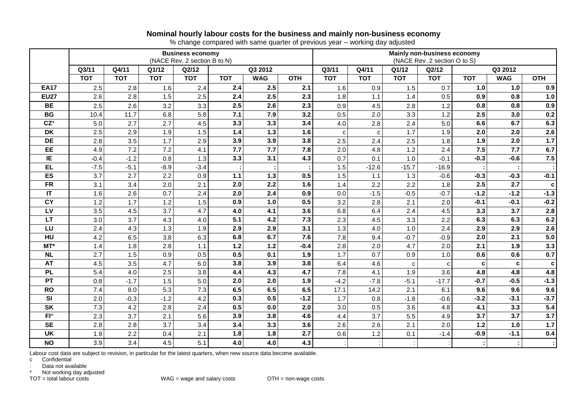### **Nominal hourly labour costs for the business and mainly non-business economy**

% change compared with same quarter of previous year – working day adjusted

|             |                                  |                  |                  | <b>Business economy</b><br>(NACE Rev. 2 section B to N) |            |            | Mainly non-business economy<br>(NACE Rev. 2 section O to S) |              |              |                |            |            |            |            |  |  |
|-------------|----------------------------------|------------------|------------------|---------------------------------------------------------|------------|------------|-------------------------------------------------------------|--------------|--------------|----------------|------------|------------|------------|------------|--|--|
|             | Q4/11<br>Q3/11<br>Q1/12<br>Q2/12 |                  |                  |                                                         |            | Q3 2012    |                                                             |              | Q4/11        | Q1/12<br>Q2/12 |            |            | Q3 2012    |            |  |  |
|             | <b>TOT</b>                       | <b>TOT</b>       | <b>TOT</b>       | <b>TOT</b>                                              | <b>TOT</b> | <b>WAG</b> | <b>OTH</b>                                                  | <b>TOT</b>   | <b>TOT</b>   | <b>TOT</b>     | <b>TOT</b> | <b>TOT</b> | <b>WAG</b> | <b>OTH</b> |  |  |
| <b>EA17</b> | 2.5                              | 2.8              | 1.6              | 2.4                                                     | 2.4        | 2.5        | 2.1                                                         | 1.6          | 0.9          | 1.5            | 0.7        | 1.0        | 1.0        | 0.9        |  |  |
| <b>EU27</b> | 2.6                              | 2.8              | 1.5              | 2.5                                                     | 2.4        | 2.5        | 2.3                                                         | 1.8          | 1.1          | 1.4            | 0.5        | 0.9        | 0.8        | 1.0        |  |  |
| <b>BE</b>   | 2.5                              | 2.6              | 3.2              | 3.3                                                     | 2.5        | 2.6        | 2.3                                                         | 0.9          | 4.5          | 2.8            | 1.2        | 0.8        | 0.8        | 0.9        |  |  |
| <b>BG</b>   | 10.4                             | 11.7             | 6.8              | 5.8                                                     | 7.1        | 7.9        | 3.2                                                         | 0.5          | 2.0          | 3.3            | 1.2        | 2.5        | 3.0        | 0.2        |  |  |
| $CZ^*$      | 5.0                              | 2.7              | $\overline{2.7}$ | 4.5                                                     | 3.3        | 3.3        | 3.4                                                         | 4.0          | 2.8          | 2.4            | 5.0        | 6.6        | 6.7        | 6.3        |  |  |
| <b>DK</b>   | 2.5                              | 2.9              | 1.9              | 1.5                                                     | 1.4        | 1.3        | 1.6                                                         | $\mathbf{C}$ | $\mathbf{C}$ | 1.7            | 1.9        | 2.0        | 2.0        | 2.6        |  |  |
| <b>DE</b>   | 2.8                              | 3.5              | 1.7              | 2.9                                                     | 3.9        | 3.9        | 3.8                                                         | 2.5          | 2.4          | 2.5            | 1.8        | 1.9        | 2.0        | 1.7        |  |  |
| EE          | 4.9                              | 7.2              | 7.2              | 4.1                                                     | 7.7        | 7.7        | 7.8                                                         | 2.0          | 4.8          | 1.2            | 2.4        | 7.5        | 7.7        | 6.7        |  |  |
| IE          | $-0.4$                           | $-1.2$           | 0.8              | 1.3                                                     | 3.3        | 3.1        | 4.3                                                         | 0.7          | 0.1          | 1.0            | $-0.1$     | $-0.3$     | $-0.6$     | 7.5        |  |  |
| <b>EL</b>   | $-7.5$                           | $-5.1$           | $-8.9$           | $-3.4$                                                  |            |            |                                                             | 1.5          | $-12.6$      | $-15.7$        | $-16.9$    |            |            |            |  |  |
| ES          | 3.7                              | 2.7              | 2.2              | 0.9                                                     | $1.1$      | $1.3$      | 0.5                                                         | 1.5          | 1.1          | 1.3            | $-0.6$     | $-0.3$     | $-0.3$     | $-0.1$     |  |  |
| <b>FR</b>   | 3.1                              | 3.4              | 2.0              | 2.1                                                     | 2.0        | 2.2        | 1.6                                                         | 1.4          | 2.2          | 2.2            | 1.8        | 2.5        | 2.7        | C          |  |  |
| IT          | 1.6                              | 2.6              | 0.7              | 2.4                                                     | 2.0        | 2.4        | 0.9                                                         | 0.0          | $-1.5$       | $-0.5$         | $-0.7$     | $-1.2$     | $-1.2$     | $-1.3$     |  |  |
| <b>CY</b>   | 1.2                              | 1.7              | 1.2              | 1.5                                                     | 0.9        | 1.0        | 0.5                                                         | 3.2          | 2.8          | 2.1            | 2.0        | $-0.1$     | $-0.1$     | $-0.2$     |  |  |
| LV          | 3.5                              | 4.5              | 3.7              | 4.7                                                     | 4.0        | 4.1        | 3.6                                                         | 6.8          | 6.4          | 2.4            | 4.5        | 3.3        | 3.7        | 2.8        |  |  |
| <b>LT</b>   | 3.0                              | $\overline{3.7}$ | 4.3              | 4.0                                                     | 5.1        | 4.2        | 7.3                                                         | 2.3          | 4.5          | 3.3            | 2.2        | 6.3        | 6.3        | 6.2        |  |  |
| LU          | 2.4                              | 4.3              | 1.3              | 1.9                                                     | 2.9        | 2.9        | 3.1                                                         | 1.3          | 4.0          | 1.0            | 2.4        | 2.9        | 2.9        | 2.6        |  |  |
| HU          | 4.2                              | 6.5              | 3.8              | 6.3                                                     | 6.8        | 6.7        | 7.6                                                         | 7.8          | 9.4          | $-0.7$         | $-0.9$     | 2.0        | 2.1        | 5.0        |  |  |
| MT*         | 1.4                              | 1.8              | 2.8              | 1.1                                                     | $1.2$      | 1.2        | $-0.4$                                                      | 2.8          | 2.0          | 4.7            | 2.0        | 2.1        | 1.9        | 3.3        |  |  |
| <b>NL</b>   | 2.7                              | 1.5              | 0.9              | 0.5                                                     | 0.5        | 0.1        | 1.9                                                         | 1.7          | 0.7          | 0.9            | 1.0        | 0.6        | 0.6        | 0.7        |  |  |
| <b>AT</b>   | 4.5                              | 3.5              | 4.7              | 6.0                                                     | 3.8        | 3.9        | 3.8                                                         | 6.4          | 4.6          | C              | C          | c          | C          | c          |  |  |
| <b>PL</b>   | 5.4                              | 4.0              | 2.5              | 3.8                                                     | 4.4        | 4.3        | 4.7                                                         | 7.8          | 4.1          | 1.9            | 3.6        | 4.8        | 4.8        | 4.8        |  |  |
| PT          | 0.8                              | $-1.7$           | 1.5              | 5.0                                                     | 2.0        | 2.0        | 1.9                                                         | $-4.2$       | $-7.8$       | $-5.1$         | $-17.7$    | $-0.7$     | $-0.5$     | $-1.3$     |  |  |
| <b>RO</b>   | 7.4                              | 8.0              | 5.3              | 7.3                                                     | 6.5        | 6.5        | 6.5                                                         | 17.1         | 14.2         | 2.1            | 6.1        | 9.6        | 9.6        | 9.6        |  |  |
| <b>SI</b>   | 2.0                              | $-0.3$           | $-1.2$           | 4.2                                                     | 0.3        | 0.5        | $-1.2$                                                      | 1.7          | 0.8          | $-1.8$         | $-0.6$     | $-3.2$     | $-3.1$     | $-3.7$     |  |  |
| <b>SK</b>   | 7.3                              | 4.2              | 2.8              | 2.4                                                     | 0.5        | 0.0        | 2.0                                                         | 3.0          | 0.5          | 3.6            | 4.8        | 4.1        | 3.3        | 5.4        |  |  |
| $FI^*$      | 2.3                              | 3.7              | 2.1              | 5.6                                                     | 3.9        | 3.8        | 4.6                                                         | 4.4          | 3.7          | 5.5            | 4.9        | 3.7        | 3.7        | 3.7        |  |  |
| <b>SE</b>   | 2.8                              | 2.8              | 3.7              | 3.4                                                     | 3.4        | 3.3        | 3.6                                                         | 2.6          | 2.6          | 2.1            | 2.0        | $1.2$      | 1.0        | $1.7$      |  |  |
| <b>UK</b>   | 1.9                              | 2.2              | 0.4              | 2.1                                                     | 1.8        | 1.8        | 2.7                                                         | 0.6          | 1.2          | 0.1            | $-1.4$     | $-0.9$     | $-1.1$     | 0.4        |  |  |
| <b>NO</b>   | 3.9                              | 3.4              | 4.5              | 5.1                                                     | 4.0        | 4.0        | 4.3                                                         |              |              |                |            |            |            |            |  |  |

Labour cost data are subject to revision, in particular for the latest quarters, when new source data become available.

c Confidential

: Data not available

\* Not working day adjusted<br>TOT = total labour costs